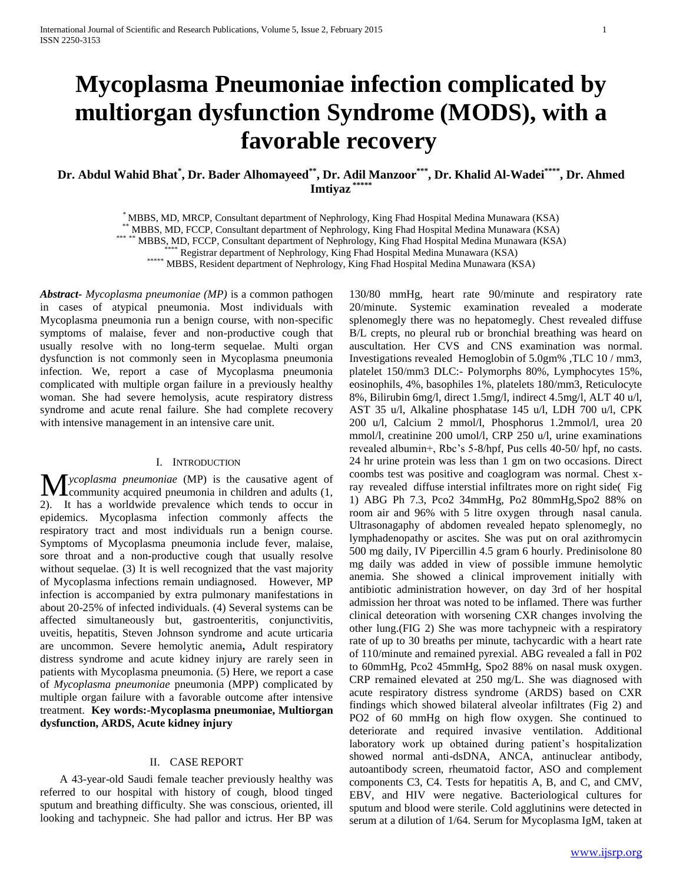# **Mycoplasma Pneumoniae infection complicated by multiorgan dysfunction Syndrome (MODS), with a favorable recovery**

## **Dr. Abdul Wahid Bhat\* , Dr. Bader Alhomayeed\*\* , Dr. Adil Manzoor\*\*\* , Dr. Khalid Al-Wadei\*\*\*\* , Dr. Ahmed Imtiyaz \*\*\*\*\***

\* MBBS, MD, MRCP, Consultant department of Nephrology, King Fhad Hospital Medina Munawara (KSA)

<sup>\*</sup> MBBS, MD, FCCP, Consultant department of Nephrology, King Fhad Hospital Medina Munawara (KSA)

\*\*\* \*\* MBBS, MD, FCCP, Consultant department of Nephrology, King Fhad Hospital Medina Munawara (KSA)

\*\*\*\* Registrar department of Nephrology, King Fhad Hospital Medina Munawara (KSA)

\*\*\*\*\* MBBS, Resident department of Nephrology, King Fhad Hospital Medina Munawara (KSA)

*Abstract***-** *Mycoplasma pneumoniae (MP)* is a common pathogen in cases of atypical pneumonia. Most individuals with Mycoplasma pneumonia run a benign course, with non-specific symptoms of malaise, fever and non-productive cough that usually resolve with no long-term sequelae. Multi organ dysfunction is not commonly seen in Mycoplasma pneumonia infection. We, report a case of Mycoplasma pneumonia complicated with multiple organ failure in a previously healthy woman. She had severe hemolysis, acute respiratory distress syndrome and acute renal failure. She had complete recovery with intensive management in an intensive care unit.

### I. INTRODUCTION

*ycoplasma pneumoniae* (MP) is the causative agent of **M** *ycoplasma pneumoniae* (MP) is the causative agent of community acquired pneumonia in children and adults (1, 2). It has a worldwide prevalence which tends to occur in epidemics. Mycoplasma infection commonly affects the respiratory tract and most individuals run a benign course. Symptoms of Mycoplasma pneumonia include fever, malaise, sore throat and a non-productive cough that usually resolve without sequelae. (3) It is well recognized that the vast majority of Mycoplasma infections remain undiagnosed. However, MP infection is accompanied by extra pulmonary manifestations in about 20-25% of infected individuals. (4) Several systems can be affected simultaneously but, gastroenteritis, conjunctivitis, uveitis, hepatitis, Steven Johnson syndrome and acute urticaria are uncommon. Severe hemolytic anemia**,** Adult respiratory distress syndrome and acute kidney injury are rarely seen in patients with Mycoplasma pneumonia. (5) Here, we report a case of *Mycoplasma pneumoniae* pneumonia (MPP) complicated by multiple organ failure with a favorable outcome after intensive treatment. **Key words:-Mycoplasma pneumoniae, Multiorgan dysfunction, ARDS, Acute kidney injury**

#### II. CASE REPORT

 A 43-year-old Saudi female teacher previously healthy was referred to our hospital with history of cough, blood tinged sputum and breathing difficulty. She was conscious, oriented, ill looking and tachypneic. She had pallor and ictrus. Her BP was

130/80 mmHg, heart rate 90/minute and respiratory rate 20/minute. Systemic examination revealed a moderate splenomegly there was no hepatomegly. Chest revealed diffuse B/L crepts, no pleural rub or bronchial breathing was heard on auscultation. Her CVS and CNS examination was normal. Investigations revealed Hemoglobin of 5.0gm% ,TLC 10 / mm3, platelet 150/mm3 DLC:- Polymorphs 80%, Lymphocytes 15%, eosinophils, 4%, basophiles 1%, platelets 180/mm3, Reticulocyte 8%, Bilirubin 6mg/l, direct 1.5mg/l, indirect 4.5mg/l, ALT 40 u/l, AST 35 u/l, Alkaline phosphatase 145 u/l, LDH 700 u/l, CPK 200 u/l, Calcium 2 mmol/l, Phosphorus 1.2mmol/l, urea 20 mmol/l, creatinine 200 umol/l, CRP 250 u/l, urine examinations revealed albumin+, Rbc's 5-8/hpf, Pus cells 40-50/ hpf, no casts. 24 hr urine protein was less than 1 gm on two occasions. Direct coombs test was positive and coaglogram was normal. Chest xray revealed diffuse interstial infiltrates more on right side( Fig 1) ABG Ph 7.3, Pco2 34mmHg, Po2 80mmHg,Spo2 88% on room air and 96% with 5 litre oxygen through nasal canula. Ultrasonagaphy of abdomen revealed hepato splenomegly, no lymphadenopathy or ascites. She was put on oral azithromycin 500 mg daily, IV Pipercillin 4.5 gram 6 hourly. Predinisolone 80 mg daily was added in view of possible immune hemolytic anemia. She showed a clinical improvement initially with antibiotic administration however, on day 3rd of her hospital admission her throat was noted to be inflamed. There was further clinical deteoration with worsening CXR changes involving the other lung.(FIG 2) She was more tachypneic with a respiratory rate of up to 30 breaths per minute, tachycardic with a heart rate of 110/minute and remained pyrexial. ABG revealed a fall in P02 to 60mmHg, Pco2 45mmHg, Spo2 88% on nasal musk oxygen. CRP remained elevated at 250 mg/L. She was diagnosed with acute respiratory distress syndrome (ARDS) based on CXR findings which showed bilateral alveolar infiltrates (Fig 2) and PO2 of 60 mmHg on high flow oxygen. She continued to deteriorate and required invasive ventilation. Additional laboratory work up obtained during patient's hospitalization showed normal anti-dsDNA, ANCA, antinuclear antibody, autoantibody screen, rheumatoid factor, ASO and complement components C3, C4. Tests for hepatitis A, B, and C, and CMV, EBV, and HIV were negative. Bacteriological cultures for sputum and blood were sterile. Cold agglutinins were detected in serum at a dilution of 1/64. Serum for Mycoplasma IgM, taken at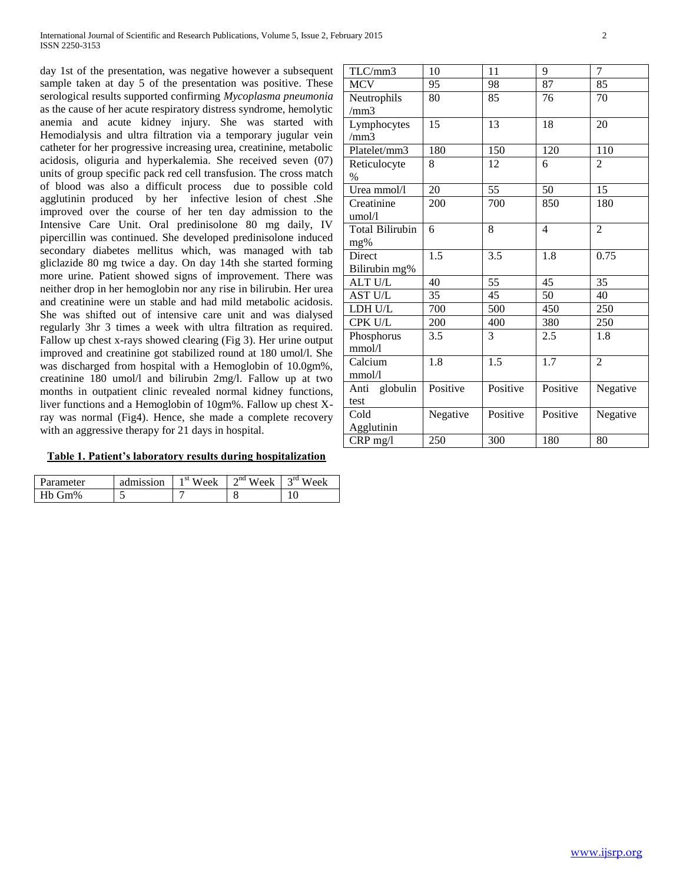day 1st of the presentation, was negative however a subsequent sample taken at day 5 of the presentation was positive. These serological results supported confirming *Mycoplasma pneumonia* as the cause of her acute respiratory distress syndrome, hemolytic anemia and acute kidney injury. She was started with Hemodialysis and ultra filtration via a temporary jugular vein catheter for her progressive increasing urea, creatinine, metabolic acidosis, oliguria and hyperkalemia. She received seven (07) units of group specific pack red cell transfusion. The cross match of blood was also a difficult process due to possible cold agglutinin produced by her infective lesion of chest .She improved over the course of her ten day admission to the Intensive Care Unit. Oral predinisolone 80 mg daily, IV pipercillin was continued. She developed predinisolone induced secondary diabetes mellitus which, was managed with tab gliclazide 80 mg twice a day. On day 14th she started forming more urine. Patient showed signs of improvement. There was neither drop in her hemoglobin nor any rise in bilirubin. Her urea and creatinine were un stable and had mild metabolic acidosis. She was shifted out of intensive care unit and was dialysed regularly 3hr 3 times a week with ultra filtration as required. Fallow up chest x-rays showed clearing (Fig 3). Her urine output improved and creatinine got stabilized round at 180 umol/l. She was discharged from hospital with a Hemoglobin of 10.0gm%, creatinine 180 umol/l and bilirubin 2mg/l. Fallow up at two months in outpatient clinic revealed normal kidney functions, liver functions and a Hemoglobin of 10gm%. Fallow up chest Xray was normal (Fig4). Hence, she made a complete recovery with an aggressive therapy for 21 days in hospital.

## **Table 1. Patient's laboratory results during hospitalization**

| Parameter      | admission | $\overline{\text{w}}$ <sup>st</sup> Week | $\sqrt{m}$ Week $\sqrt{m}$ | $2^{\text{rd}}$ W <sub>z</sub><br>'eek |
|----------------|-----------|------------------------------------------|----------------------------|----------------------------------------|
| Gm%<br>$H = 1$ |           |                                          |                            |                                        |

| 10       | 11                                  | 9                             | 7                 |
|----------|-------------------------------------|-------------------------------|-------------------|
| 95       | 98                                  | 87                            | 85                |
| 80       | 85                                  | 76                            | 70                |
|          |                                     |                               |                   |
| 15       | 13                                  | 18                            | 20                |
|          |                                     |                               |                   |
|          |                                     |                               | 110               |
|          |                                     | 6                             | $\overline{2}$    |
|          |                                     |                               |                   |
| 20       | 55                                  | 50                            | 15                |
|          | 700                                 |                               | 180               |
|          |                                     |                               |                   |
| 6        | 8                                   | $\overline{4}$                | $\overline{2}$    |
|          |                                     |                               |                   |
|          |                                     |                               | 0.75              |
|          |                                     |                               |                   |
| 40       | 55                                  | 45                            | 35                |
| 35       | 45                                  | 50                            | 40                |
| 700      | 500                                 | 450                           | 250               |
| 200      | 400                                 | 380                           | 250               |
| 3.5      | 3                                   | 2.5                           | 1.8               |
|          |                                     |                               |                   |
| 1.8      | $\overline{1.5}$                    | 1.7                           | $\overline{2}$    |
|          |                                     |                               |                   |
| Positive | Positive                            | Positive                      | Negative          |
|          |                                     |                               |                   |
| Negative | Positive                            | Positive                      | Negative          |
|          |                                     |                               |                   |
| 250      | 300                                 | 180                           | 80                |
|          | 180<br>8<br>200<br>$\overline{1.5}$ | 150<br>12<br>$\overline{3.5}$ | 120<br>850<br>1.8 |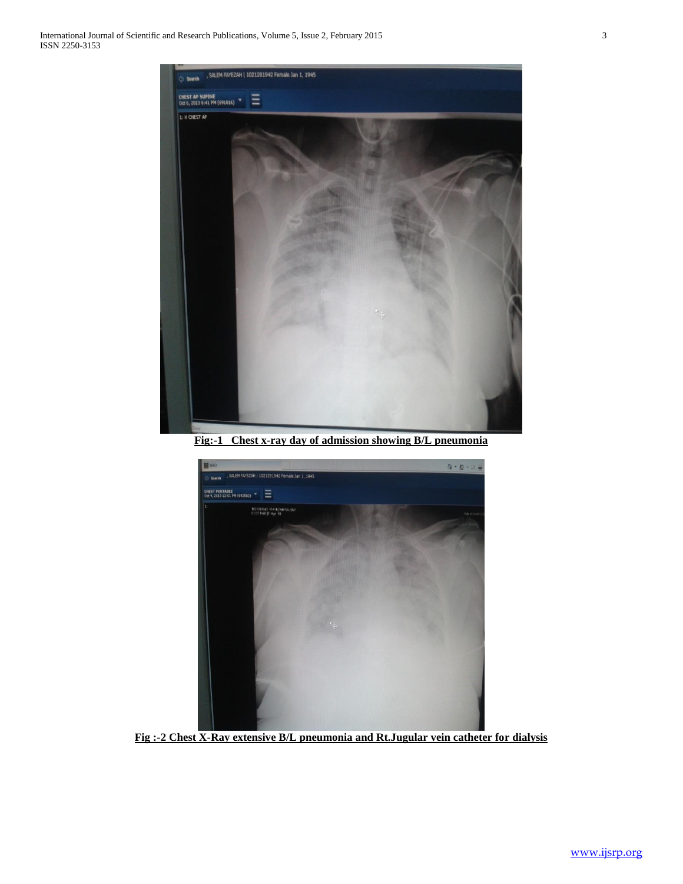

**Fig:-1 Chest x-ray day of admission showing B/L pneumonia**



**Fig :-2 Chest X-Ray extensive B/L pneumonia and Rt.Jugular vein catheter for dialysis**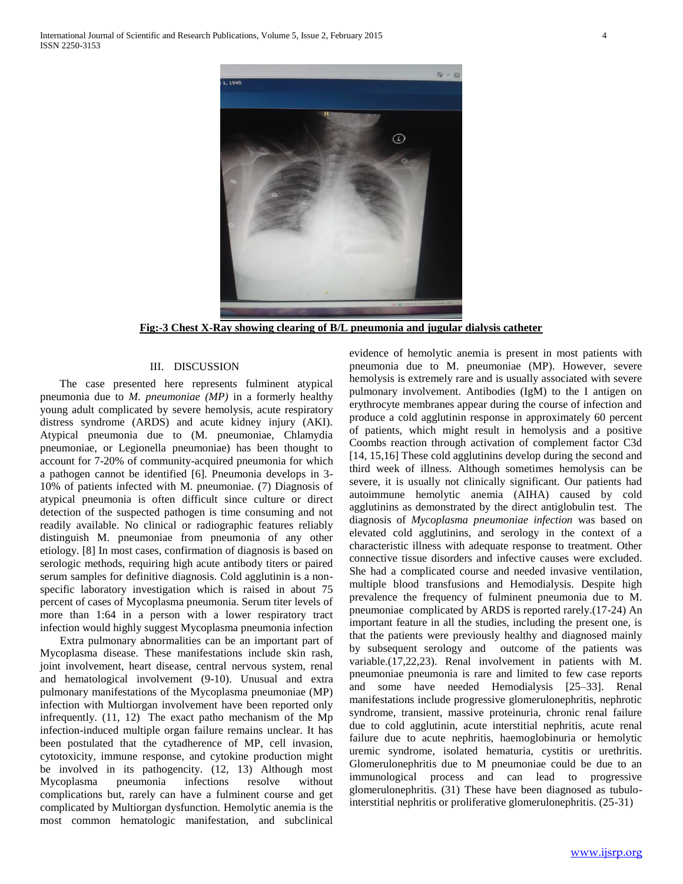

**Fig:-3 Chest X-Ray showing clearing of B/L pneumonia and jugular dialysis catheter**

#### III. DISCUSSION

 The case presented here represents fulminent atypical pneumonia due to *M. pneumoniae (MP)* in a formerly healthy young adult complicated by severe hemolysis, acute respiratory distress syndrome (ARDS) and acute kidney injury (AKI). Atypical pneumonia due to (M. pneumoniae, Chlamydia pneumoniae, or Legionella pneumoniae) has been thought to account for 7-20% of community-acquired pneumonia for which a pathogen cannot be identified [6]. Pneumonia develops in 3- 10% of patients infected with M. pneumoniae. (7) Diagnosis of atypical pneumonia is often difficult since culture or direct detection of the suspected pathogen is time consuming and not readily available. No clinical or radiographic features reliably distinguish M. pneumoniae from pneumonia of any other etiology. [8] In most cases, confirmation of diagnosis is based on serologic methods, requiring high acute antibody titers or paired serum samples for definitive diagnosis. Cold agglutinin is a nonspecific laboratory investigation which is raised in about 75 percent of cases of Mycoplasma pneumonia. Serum titer levels of more than 1:64 in a person with a lower respiratory tract infection would highly suggest Mycoplasma pneumonia infection

 Extra pulmonary abnormalities can be an important part of Mycoplasma disease. These manifestations include skin rash, joint involvement, heart disease, central nervous system, renal and hematological involvement (9-10). Unusual and extra pulmonary manifestations of the Mycoplasma pneumoniae (MP) infection with Multiorgan involvement have been reported only infrequently. (11, 12) The exact patho mechanism of the Mp infection-induced multiple organ failure remains unclear. It has been postulated that the cytadherence of MP, cell invasion, cytotoxicity, immune response, and cytokine production might be involved in its pathogencity. (12, 13) Although most Mycoplasma pneumonia infections resolve without complications but, rarely can have a fulminent course and get complicated by Multiorgan dysfunction. Hemolytic anemia is the most common hematologic manifestation, and subclinical

evidence of hemolytic anemia is present in most patients with pneumonia due to M. pneumoniae (MP). However, severe hemolysis is extremely rare and is usually associated with severe pulmonary involvement. Antibodies (IgM) to the I antigen on erythrocyte membranes appear during the course of infection and produce a cold agglutinin response in approximately 60 percent of patients, which might result in hemolysis and a positive Coombs reaction through activation of complement factor C3d [14, 15,16] These cold agglutinins develop during the second and third week of illness. Although sometimes hemolysis can be severe, it is usually not clinically significant. Our patients had autoimmune hemolytic anemia (AIHA) caused by cold agglutinins as demonstrated by the direct antiglobulin test. The diagnosis of *Mycoplasma pneumoniae infection* was based on elevated cold agglutinins, and serology in the context of a characteristic illness with adequate response to treatment. Other connective tissue disorders and infective causes were excluded. She had a complicated course and needed invasive ventilation, multiple blood transfusions and Hemodialysis. Despite high prevalence the frequency of fulminent pneumonia due to M. pneumoniae complicated by ARDS is reported rarely.(17-24) An important feature in all the studies, including the present one, is that the patients were previously healthy and diagnosed mainly by subsequent serology and outcome of the patients was variable.(17,22,23). Renal involvement in patients with M*.*  pneumoniae pneumonia is rare and limited to few case reports and some have needed Hemodialysis [25–33]. Renal manifestations include progressive glomerulonephritis, nephrotic syndrome, transient, massive proteinuria, chronic renal failure due to cold agglutinin, acute interstitial nephritis, acute renal failure due to acute nephritis, haemoglobinuria or hemolytic uremic syndrome, isolated hematuria, cystitis or urethritis. Glomerulonephritis due to M pneumoniae could be due to an immunological process and can lead to progressive glomerulonephritis. (31) These have been diagnosed as tubulointerstitial nephritis or proliferative glomerulonephritis. (25-31)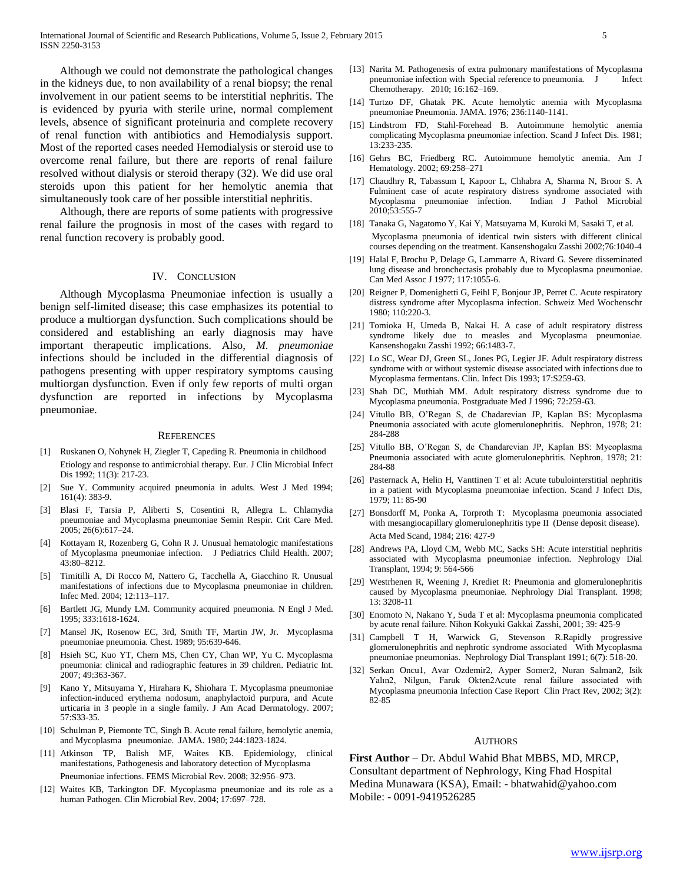Although we could not demonstrate the pathological changes in the kidneys due, to non availability of a renal biopsy; the renal involvement in our patient seems to be interstitial nephritis. The is evidenced by pyuria with sterile urine, normal complement levels, absence of significant proteinuria and complete recovery of renal function with antibiotics and Hemodialysis support. Most of the reported cases needed Hemodialysis or steroid use to overcome renal failure, but there are reports of renal failure resolved without dialysis or steroid therapy (32). We did use oral steroids upon this patient for her hemolytic anemia that simultaneously took care of her possible interstitial nephritis.

 Although, there are reports of some patients with progressive renal failure the prognosis in most of the cases with regard to renal function recovery is probably good.

#### IV. CONCLUSION

 Although Mycoplasma Pneumoniae infection is usually a benign self-limited disease; this case emphasizes its potential to produce a multiorgan dysfunction. Such complications should be considered and establishing an early diagnosis may have important therapeutic implications. Also, *M. pneumoniae* infections should be included in the differential diagnosis of pathogens presenting with upper respiratory symptoms causing multiorgan dysfunction. Even if only few reports of multi organ dysfunction are reported in infections by Mycoplasma pneumoniae*.*

#### **REFERENCES**

- [1] Ruskanen O, Nohynek H, Ziegler T, Capeding R. Pneumonia in childhood Etiology and response to antimicrobial therapy. Eur. J Clin Microbial Infect Dis 1992; 11(3): 217-23.
- [2] Sue Y. Community acquired pneumonia in adults. West J Med 1994; 161(4): 383-9.
- [3] Blasi F, Tarsia P, Aliberti S, Cosentini R, Allegra L. Chlamydia pneumoniae and Mycoplasma pneumoniae Semin Respir. Crit Care Med. 2005; 26(6):617–24.
- [4] Kottayam R, Rozenberg G, Cohn R J. Unusual hematologic manifestations of Mycoplasma pneumoniae infection. J Pediatrics Child Health. 2007; 43:80–8212.
- [5] Timitilli A, Di Rocco M, Nattero G, Tacchella A, Giacchino R. Unusual manifestations of infections due to Mycoplasma pneumoniae in children. Infec Med. 2004; 12:113–117.
- Bartlett JG, Mundy LM. Community acquired pneumonia. N Engl J Med. 1995; 333:1618-1624.
- [7] Mansel JK, Rosenow EC, 3rd, Smith TF, Martin JW, Jr. Mycoplasma pneumoniae pneumonia. Chest. 1989; 95:639-646.
- [8] Hsieh SC, Kuo YT, Chern MS, Chen CY, Chan WP, Yu C. Mycoplasma pneumonia: clinical and radiographic features in 39 children. Pediatric Int. 2007; 49:363-367.
- [9] Kano Y, Mitsuyama Y, Hirahara K, Shiohara T. Mycoplasma pneumoniae infection-induced erythema nodosum, anaphylactoid purpura, and Acute urticaria in 3 people in a single family. J Am Acad Dermatology. 2007; 57:S33-35.
- [10] Schulman P, Piemonte TC, Singh B. Acute renal failure, hemolytic anemia, and Mycoplasma pneumoniae. JAMA. 1980; 244:1823-1824.
- [11] Atkinson TP, Balish MF, Waites KB. Epidemiology, clinical manifestations, Pathogenesis and laboratory detection of Mycoplasma Pneumoniae infections. FEMS Microbial Rev. 2008; 32:956–973.
- [12] Waites KB, Tarkington DF. Mycoplasma pneumoniae and its role as a human Pathogen. Clin Microbial Rev. 2004; 17:697–728.
- [13] Narita M. Pathogenesis of extra pulmonary manifestations of Mycoplasma pneumoniae infection with Special reference to pneumonia. J Infect Chemotherapy. 2010; 16:162–169.
- [14] Turtzo DF, Ghatak PK. Acute hemolytic anemia with Mycoplasma pneumoniae Pneumonia. JAMA. 1976; 236:1140-1141.
- [15] Lindstrom FD, Stahl-Forehead B. Autoimmune hemolytic anemia complicating Mycoplasma pneumoniae infection. Scand J Infect Dis. 1981; 13:233-235.
- [16] Gehrs BC, Friedberg RC. Autoimmune hemolytic anemia. Am J Hematology. 2002; 69:258–271
- [17] Chaudhry R, Tabassum I, Kapoor L, Chhabra A, Sharma N, Broor S. A Fulminent case of acute respiratory distress syndrome associated with Mycoplasma pneumoniae infection. Indian J Pathol Microbial 2010;53:555-7
- [18] Tanaka G, Nagatomo Y, Kai Y, Matsuyama M, Kuroki M, Sasaki T, et al. Mycoplasma pneumonia of identical twin sisters with different clinical courses depending on the treatment. Kansenshogaku Zasshi 2002;76:1040-4
- [19] Halal F, Brochu P, Delage G, Lammarre A, Rivard G. Severe disseminated lung disease and bronchectasis probably due to Mycoplasma pneumoniae. Can Med Assoc J 1977; 117:1055-6.
- [20] Reigner P, Domenighetti G, Feihl F, Bonjour JP, Perret C. Acute respiratory distress syndrome after Mycoplasma infection. Schweiz Med Wochenschr 1980; 110:220-3.
- [21] Tomioka H, Umeda B, Nakai H. A case of adult respiratory distress syndrome likely due to measles and Mycoplasma pneumoniae. Kansenshogaku Zasshi 1992; 66:1483-7.
- [22] Lo SC, Wear DJ, Green SL, Jones PG, Legier JF. Adult respiratory distress syndrome with or without systemic disease associated with infections due to Mycoplasma fermentans. Clin. Infect Dis 1993; 17:S259-63.
- [23] Shah DC, Muthiah MM. Adult respiratory distress syndrome due to Mycoplasma pneumonia. Postgraduate Med J 1996; 72:259-63.
- [24] Vitullo BB, O'Regan S, de Chadarevian JP, Kaplan BS: Mycoplasma Pneumonia associated with acute glomerulonephritis. Nephron, 1978; 21: 284-288
- [25] Vitullo BB, O'Regan S, de Chandarevian JP, Kaplan BS: Mycoplasma Pneumonia associated with acute glomerulonephritis. Nephron, 1978; 21: 284-88
- [26] Pasternack A, Helin H, Vanttinen T et al: Acute tubulointerstitial nephritis in a patient with Mycoplasma pneumoniae infection. Scand J Infect Dis, 1979; 11: 85-90
- [27] Bonsdorff M, Ponka A, Torproth T: Mycoplasma pneumonia associated with mesangiocapillary glomerulonephritis type II (Dense deposit disease). Acta Med Scand, 1984; 216: 427-9
- [28] Andrews PA, Lloyd CM, Webb MC, Sacks SH: Acute interstitial nephritis associated with Mycoplasma pneumoniae infection. Nephrology Dial Transplant, 1994; 9: 564-566
- [29] Westrhenen R, Weening J, Krediet R: Pneumonia and glomerulonephritis caused by Mycoplasma pneumoniae. Nephrology Dial Transplant. 1998; 13: 3208-11
- [30] Enomoto N, Nakano Y, Suda T et al: Mycoplasma pneumonia complicated by acute renal failure. Nihon Kokyuki Gakkai Zasshi, 2001; 39: 425-9
- [31] Campbell T H, Warwick G, Stevenson R.Rapidly progressive glomerulonephritis and nephrotic syndrome associated With Mycoplasma pneumoniae pneumonias. Nephrology Dial Transplant 1991; 6(7): 518-20.
- [32] Serkan Oncu1, Avar Ozdemir2, Ayper Somer2, Nuran Salman2, Isik Yalın2, Nilgun, Faruk Okten2Acute renal failure associated with Mycoplasma pneumonia Infection Case Report Clin Pract Rev, 2002; 3(2): 82-85

#### AUTHORS

**First Author** – Dr. Abdul Wahid Bhat MBBS, MD, MRCP, Consultant department of Nephrology, King Fhad Hospital Medina Munawara (KSA), Email: - bhatwahid@yahoo.com Mobile: - 0091-9419526285